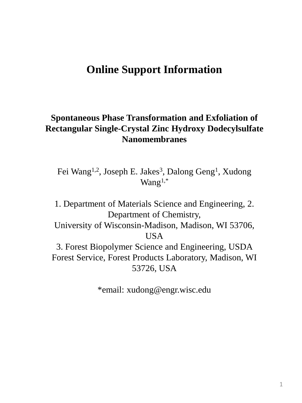## **Online Support Information**

## **Spontaneous Phase Transformation and Exfoliation of Rectangular Single-Crystal Zinc Hydroxy Dodecylsulfate Nanomembranes**

Fei Wang<sup>1,2</sup>, Joseph E. Jakes<sup>3</sup>, Dalong Geng<sup>1</sup>, Xudong Wang $1,*$ 

1. Department of Materials Science and Engineering, 2. Department of Chemistry, University of Wisconsin-Madison, Madison, WI 53706, USA 3. Forest Biopolymer Science and Engineering, USDA Forest Service, Forest Products Laboratory, Madison, WI 53726, USA

\*email: xudong@engr.wisc.edu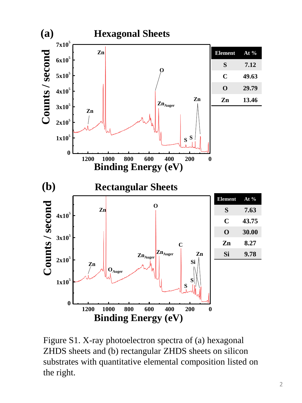

Figure S1. X-ray photoelectron spectra of (a) hexagonal ZHDS sheets and (b) rectangular ZHDS sheets on silicon substrates with quantitative elemental composition listed on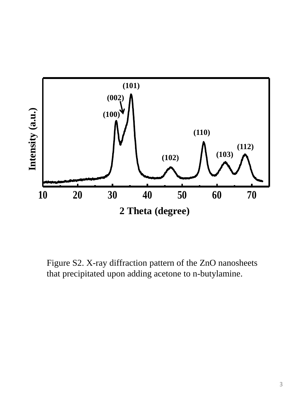

Figure S2. X-ray diffraction pattern of the ZnO nanosheets that precipitated upon adding acetone to n-butylamine.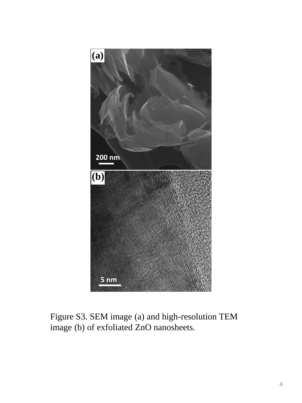

Figure S3. SEM image (a) and high-resolution TEM image (b) of exfoliated ZnO nanosheets.